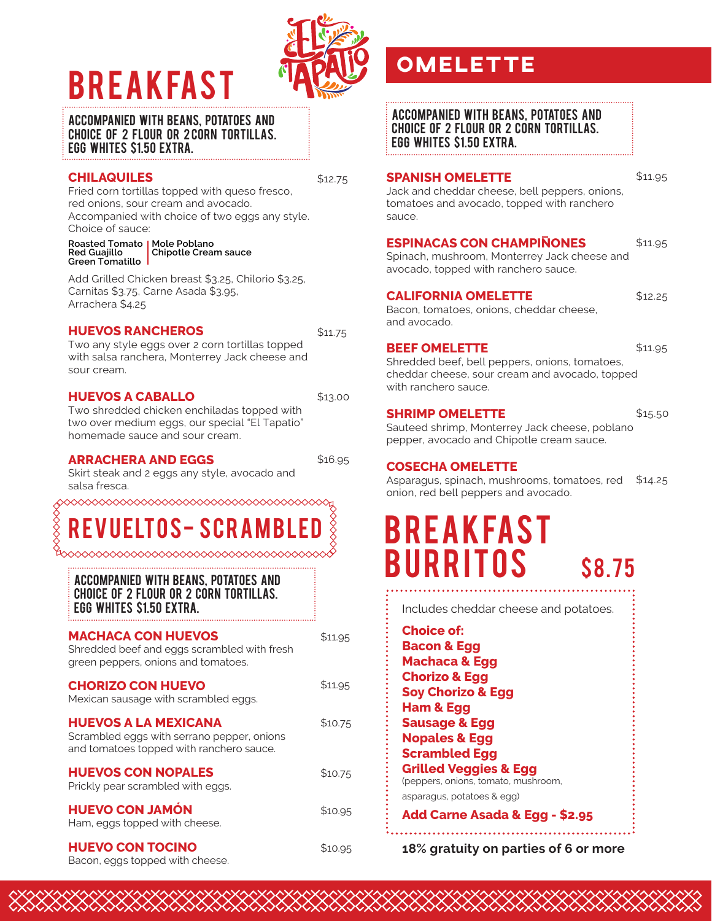# BREAKFAST



#### Accompanied with beans, potatoes and choice of 2 flour or 2 corn tortillas. Egg whites \$1.50 EXTRA.

#### **CHILAQUILES**

\$12.75

\$11.75

\$13.00

Fried corn tortillas topped with queso fresco, red onions, sour cream and avocado. Accompanied with choice of two eggs any style. Choice of sauce:

**Roasted Tomato Mole Poblano Red Guajillo Green Tomatillo Chipotle Cream sauce**

Add Grilled Chicken breast \$3.25, Chilorio \$3.25, Carnitas \$3.75, Carne Asada \$3.95, Arrachera \$4.25

#### **HUEVOS RANCHEROS**

Two any style eggs over 2 corn tortillas topped with salsa ranchera, Monterrey Jack cheese and sour cream.

#### **HUEVOS A CABALLO**

Two shredded chicken enchiladas topped with two over medium eggs, our special "El Tapatio" homemade sauce and sour cream.

#### **ARRACHERA AND EGGS**

\$16.95

IIAANA KANANA KANANA KANANA KANANA KANANA K

Skirt steak and 2 eggs any style, avocado and salsa fresca.

### ◇◇◇◇◇◇◇◇◇◇◇◇◇◇◇◇◇◇◇◇◇◇◇◇◇◇◇◇◇◇ UELTOS- SCRA

Accompanied with beans, potatoes and choice of 2 flour or 2 corn tortillas. Egg whites \$1.50 EXTRA.

| <b>MACHACA CON HUEVOS</b><br>Shredded beef and eggs scrambled with fresh<br>green peppers, onions and tomatoes.       | \$11.95 |
|-----------------------------------------------------------------------------------------------------------------------|---------|
| <b>CHORIZO CON HUEVO</b><br>Mexican sausage with scrambled eggs.                                                      | \$11.95 |
| <b>HUEVOS A LA MEXICANA</b><br>Scrambled eggs with serrano pepper, onions<br>and tomatoes topped with ranchero sauce. | \$10.75 |
| <b>HUEVOS CON NOPALES</b><br>Prickly pear scrambled with eggs.                                                        | \$10.75 |
| <b>HUEVO CON JAMÓN</b><br>Ham, eggs topped with cheese.                                                               | \$10.95 |
| <b>HUEVO CON TOCINO</b>                                                                                               | \$10.95 |

**HUEVO CON TOCINO** Bacon, eggs topped with cheese.

### **omelette**

Accompanied with beans, potatoes and choice of 2 flour or 2 corn tortillas. Egg whites \$1.50 EXTRA.

#### **SPANISH OMELETTE**

\$11.95

Jack and cheddar cheese, bell peppers, onions, tomatoes and avocado, topped with ranchero sauce.

#### **ESPINACAS CON CHAMPINONES** \$11.95

Spinach, mushroom, Monterrey Jack cheese and avocado, topped with ranchero sauce.

#### **CALIFORNIA OMELETTE**

\$12.25

Bacon, tomatoes, onions, cheddar cheese, and avocado.

#### **BEEF OMELETTE**

\$11.95

Shredded beef, bell peppers, onions, tomatoes, cheddar cheese, sour cream and avocado, topped with ranchero sauce.

#### **SHRIMP OMELETTE**

\$15.50

Sauteed shrimp, Monterrey Jack cheese, poblano pepper, avocado and Chipotle cream sauce.

#### **COSECHA OMELETTE**

**Choice of:**

Asparagus, spinach, mushrooms, tomatoes, red onion, red bell peppers and avocado. \$14.25

# BREAKFAST **BURRITOS** \$8.75

Includes cheddar cheese and potatoes.

**Bacon & Egg Machaca & Egg Chorizo & Egg Soy Chorizo & Egg Ham & Egg Sausage & Egg Nopales & Egg Scrambled Egg Grilled Veggies & Egg** (peppers, onions, tomato, mushroom, asparagus, potatoes & egg)

**Add Carne Asada & Egg - \$2.95**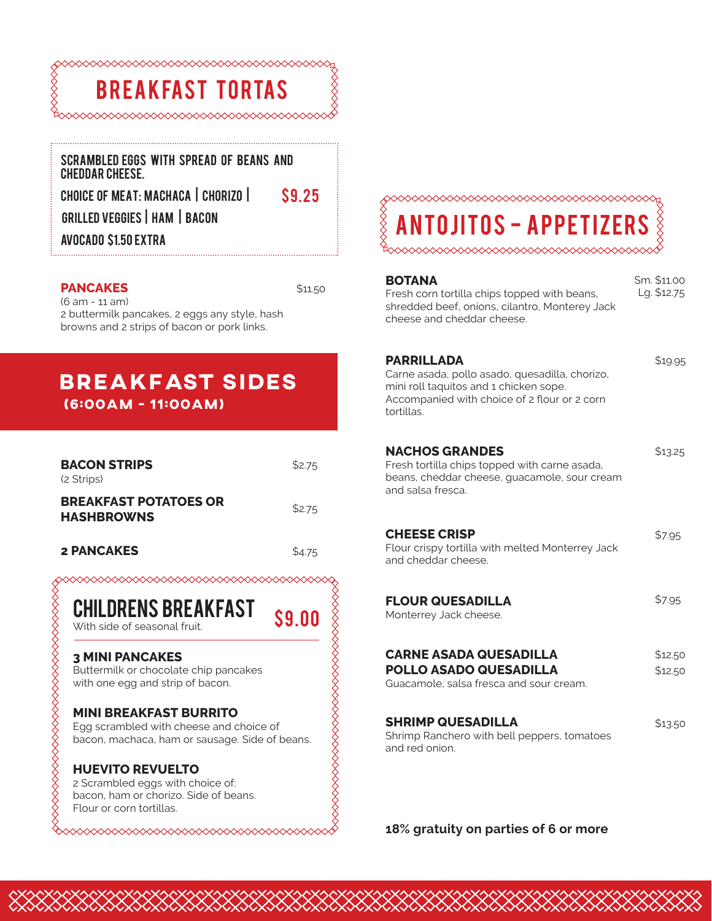

#### Scrambled Eggs with spread of beans and cheddar cheese.

choice of meAt: Machaca | Chorizo | Grilled Veggies | ham | bacon avocado \$1.50 EXTRA

#### **PANCAKES** (6 am - 11 am)

\$11.50

\$9.00

\$9.25

#### 2 buttermilk pancakes, 2 eggs any style, hash browns and 2 strips of bacon or pork links.

### **(6:00am - 11:00am) breakfast sides**

| <b>BACON STRIPS</b><br>(2 Strips)                 | \$2.75 |
|---------------------------------------------------|--------|
| <b>BREAKFAST POTATOES OR</b><br><b>HASHBROWNS</b> | \$2.75 |
| 2 PANCAKES                                        | \$4.75 |

CHILDRENS BREAKFAST

With side of seasonal fruit.

#### **3 MINI PANCAKES**

Buttermilk or chocolate chip pancakes with one egg and strip of bacon.

#### **MINI BREAKFAST BURRITO**

Egg scrambled with cheese and choice of bacon, machaca, ham or sausage. Side of beans.

#### **HUEVITO REVUELTO**

2 Scrambled eggs with choice of: bacon, ham or chorizo. Side of beans. Flour or corn tortillas.

# S-APPETIZER

| BOTANA<br>Fresh corn tortilla chips topped with beans,<br>shredded beef, onions, cilantro, Monterey Jack<br>cheese and cheddar cheese.                                      | Sm. \$11.00<br>Lg. \$12.75 |
|-----------------------------------------------------------------------------------------------------------------------------------------------------------------------------|----------------------------|
| <b>PARRILLADA</b><br>Carne asada, pollo asado, quesadilla, chorizo,<br>mini roll taquitos and 1 chicken sope.<br>Accompanied with choice of 2 flour or 2 corn<br>tortillas. | \$19.95                    |
| <b>NACHOS GRANDES</b><br>Fresh tortilla chips topped with carne asada,<br>beans, cheddar cheese, quacamole, sour cream<br>and salsa fresca.                                 | \$13.25                    |
| <b>CHEESE CRISP</b><br>Flour crispy tortilla with melted Monterrey Jack<br>and cheddar cheese.                                                                              | \$7.95                     |
| <b>FLOUR QUESADILLA</b><br>Monterrey Jack cheese.                                                                                                                           | \$7.95                     |
| <b>CARNE ASADA QUESADILLA</b><br><b>POLLO ASADO QUESADILLA</b><br>Guacamole, salsa fresca and sour cream.                                                                   | \$12.50<br>\$12.50         |
| <b>SHRIMP QUESADILLA</b><br>Shrimp Ranchero with bell peppers, tomatoes<br>and red onion.                                                                                   | \$13.50                    |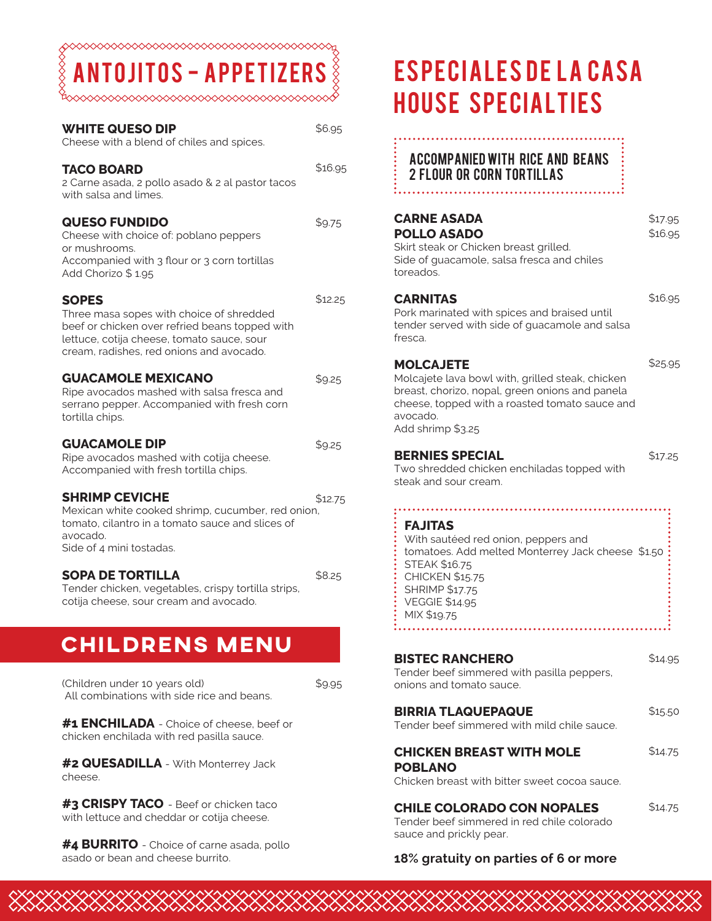◇◇◇◇◇◇◇◇◇◇◇◇◇ OS-APPE

| <b>WHITE QUESO DIP</b><br>Cheese with a blend of chiles and spices.                                                                                                                                  | \$6.95  |
|------------------------------------------------------------------------------------------------------------------------------------------------------------------------------------------------------|---------|
| <b>TACO BOARD</b><br>2 Carne asada, 2 pollo asado & 2 al pastor tacos<br>with salsa and limes.                                                                                                       | \$16.95 |
| <b>QUESO FUNDIDO</b><br>Cheese with choice of: poblano peppers<br>or mushrooms.<br>Accompanied with 3 flour or 3 corn tortillas<br>Add Chorizo \$1.95                                                | \$9.75  |
| <b>SOPES</b><br>Three masa sopes with choice of shredded<br>beef or chicken over refried beans topped with<br>lettuce, cotija cheese, tomato sauce, sour<br>cream, radishes, red onions and avocado. | \$12.25 |
| <b>GUACAMOLE MEXICANO</b><br>Ripe avocados mashed with salsa fresca and<br>serrano pepper. Accompanied with fresh corn<br>tortilla chips.                                                            | \$9.25  |
| <b>GUACAMOLE DIP</b><br>Ripe avocados mashed with cotija cheese.<br>Accompanied with fresh tortilla chips.                                                                                           | \$9.25  |
| <b>SHRIMP CEVICHE</b><br>Mexican white cooked shrimp, cucumber, red onion,<br>tomato, cilantro in a tomato sauce and slices of<br>avocado.<br>Side of 4 mini tostadas.                               | \$12.75 |
| <b>SOPA DE TORTILLA</b><br>Tender chicken, vegetables, crispy tortilla strips,<br>cotija cheese, sour cream and avocado.                                                                             | \$8.25  |
| <b>CHILDRENS MENU</b>                                                                                                                                                                                |         |

(Children under 10 years old) \$9.95 All combinations with side rice and beans.

**#1 ENCHILADA** - Choice of cheese, beef or chicken enchilada with red pasilla sauce.

**#2 QUESADILLA** - With Monterrey Jack cheese.

**#3 CRISPY TACO** - Beef or chicken taco with lettuce and cheddar or cotija cheese.

**#4 BURRITO** - Choice of carne asada, pollo asado or bean and cheese burrito.

# ESPECIALES DE LA CASA house specialties

#### Accompanied with rice and beans 2 flour or corn tortillas ֚֚֬

| <b>CARNE ASADA</b><br>POLLO ASADO<br>Skirt steak or Chicken breast grilled.<br>Side of guacamole, salsa fresca and chiles<br>toreados.                                                                                        | \$17.95<br>\$16.95 |
|-------------------------------------------------------------------------------------------------------------------------------------------------------------------------------------------------------------------------------|--------------------|
| <b>CARNITAS</b><br>Pork marinated with spices and braised until<br>tender served with side of guacamole and salsa<br>fresca.                                                                                                  | \$16.95            |
| <b>MOLCAJETE</b><br>Molcajete lava bowl with, grilled steak, chicken<br>breast, chorizo, nopal, green onions and panela<br>cheese, topped with a roasted tomato sauce and<br>avocado.<br>Add shrimp \$3.25                    | \$25.95            |
| <b>BERNIES SPECIAL</b><br>Two shredded chicken enchiladas topped with<br>steak and sour cream.                                                                                                                                | \$17.25            |
| <b>FAJITAS</b><br>With sautéed red onion, peppers and<br>tomatoes. Add melted Monterrey Jack cheese \$1.50<br><b>STEAK \$16.75</b><br><b>CHICKEN \$15.75</b><br><b>SHRIMP \$17.75</b><br><b>VEGGIE \$14.95</b><br>MIX \$19.75 |                    |
|                                                                                                                                                                                                                               |                    |

| <b>BISTEC RANCHERO</b><br>Tender beef simmered with pasilla peppers,<br>onions and tomato sauce.           | \$14.95 |
|------------------------------------------------------------------------------------------------------------|---------|
| <b>BIRRIA TLAQUEPAQUE</b><br>Tender beef simmered with mild chile sauce.                                   | \$15.50 |
| <b>CHICKEN BREAST WITH MOLE</b><br><b>POBLANO</b><br>Chicken breast with bitter sweet cocoa sauce.         | \$14.75 |
| <b>CHILE COLORADO CON NOPALES</b><br>Tender beef simmered in red chile colorado<br>sauce and prickly pear. | \$14.75 |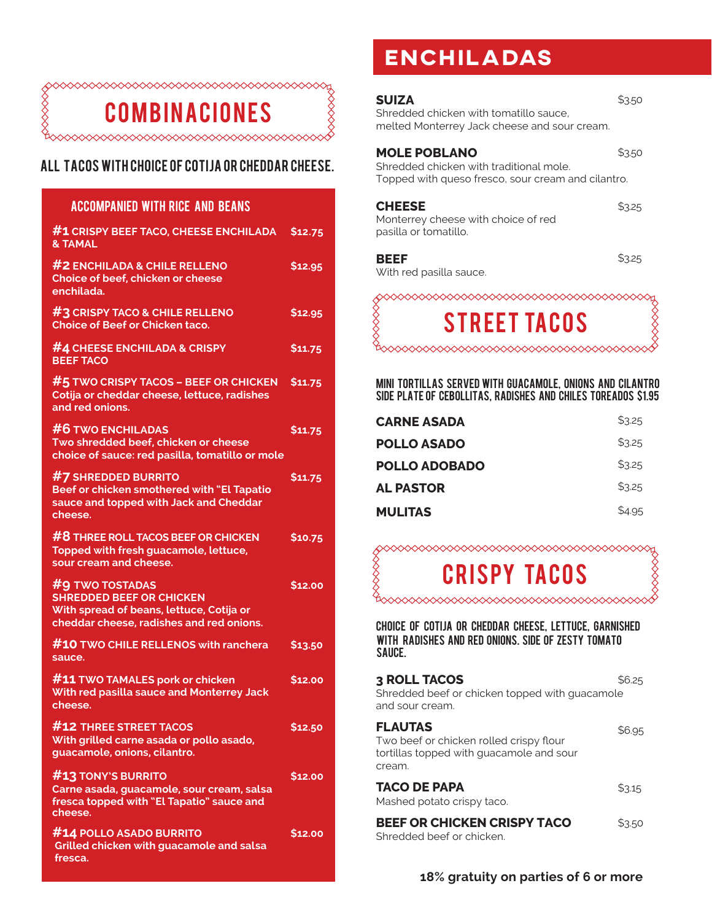

#### All TACOS WITH CHOICE OF COTIJA OR CHEDDAR CHEESE.

#### **ACCOMPANIED WITH RICE AND BEANS**

| #1 CRISPY BEEF TACO, CHEESE ENCHILADA<br><b>&amp; TAMAL</b>                                                                                | \$12.75       |
|--------------------------------------------------------------------------------------------------------------------------------------------|---------------|
| #2 ENCHILADA & CHILE RELLENO<br>Choice of beef, chicken or cheese<br>enchilada.                                                            | \$12.95       |
| #3 CRISPY TACO & CHILE RELLENO<br><b>Choice of Beef or Chicken taco.</b>                                                                   | \$12.95       |
| #4 CHEESE ENCHILADA & CRISPY<br><b>BEEF TACO</b>                                                                                           | \$11.75       |
| $#$ 5 TWO CRISPY TACOS – BEEF OR CHICKEN<br>Cotija or cheddar cheese, lettuce, radishes<br>and red onions.                                 | \$11.75       |
| <b>#6 TWO ENCHILADAS</b><br>Two shredded beef, chicken or cheese<br>choice of sauce: red pasilla, tomatillo or mole                        | \$11.75       |
| #7 SHREDDED BURRITO<br>Beef or chicken smothered with "El Tapatio<br>sauce and topped with Jack and Cheddar<br>cheese.                     | \$11.75       |
| #8 THREE ROLL TACOS BEEF OR CHICKEN<br>Topped with fresh guacamole, lettuce,<br>sour cream and cheese.                                     | \$10.75       |
| #9 TWO TOSTADAS<br><b>SHREDDED BEEF OR CHICKEN</b><br>With spread of beans, lettuce, Cotija or<br>cheddar cheese, radishes and red onions. | \$12.00       |
| #10 TWO CHILE RELLENOS with ranchera<br>sauce.                                                                                             | \$13.50       |
| #11 TWO TAMALES pork or chicken<br>With red pasilla sauce and Monterrey Jack<br>cheese.                                                    | \$12.00       |
| <b>#12 THREE STREET TACOS</b><br>With grilled carne asada or pollo asado,<br>guacamole, onions, cilantro.                                  | \$12.50       |
| #13 TONY'S BURRITO<br>Carne asada, guacamole, sour cream, salsa<br>fresca topped with "El Tapatio" sauce and<br>cheese.                    | <b>S12.00</b> |
| #14 POLLO ASADO BURRITO<br>Grilled chicken with guacamole and salsa<br>fresca.                                                             | <b>S12.00</b> |

### **enchiladas**

| <b>SUIZA</b><br>Shredded chicken with tomatillo sauce.<br>melted Monterrey Jack cheese and sour cream.               | \$3.50 |
|----------------------------------------------------------------------------------------------------------------------|--------|
| <b>MOLE POBLANO</b><br>Shredded chicken with traditional mole.<br>Topped with queso fresco, sour cream and cilantro. | \$3.50 |
| <b>CHEESE</b><br>Monterrey cheese with choice of red<br>pasilla or tomatillo.                                        | \$3.25 |
| BEEF<br>With red pasilla sauce.                                                                                      | \$3.25 |
| <b>STREET TACOS</b>                                                                                                  |        |



Mini tortillas served with guacamole, onions and cilantro side plate of cebollitas, radishes and chiles toreados \$1.95

| <b>CARNE ASADA</b> | \$3.25 |
|--------------------|--------|
| POLLO ASADO        | \$3.25 |
| POLLO ADOBADO      | \$3.25 |
| <b>AL PASTOR</b>   | \$3.25 |
| <b>MULITAS</b>     | \$4.95 |

### cri spy tacos

 $\begin{array}{c} \diamond \diamond \diamond \diamond \end{array}$ 

Choice of cotija or cheddar cheese, lettuce, garnished with radishes and red onions. side of zesty tomato sauce.

| <b>3 ROLL TACOS</b><br>Shredded beef or chicken topped with guacamole<br>and sour cream.                        | \$6.25 |
|-----------------------------------------------------------------------------------------------------------------|--------|
| <b>FLAUTAS</b><br>Two beef or chicken rolled crispy flour<br>tortillas topped with quacamole and sour<br>cream. | \$6.95 |
| <b>TACO DE PAPA</b><br>Mashed potato crispy taco.                                                               | \$3.15 |
| <b>BEEF OR CHICKEN CRISPY TACO</b><br>Shredded beef or chicken.                                                 | \$3.50 |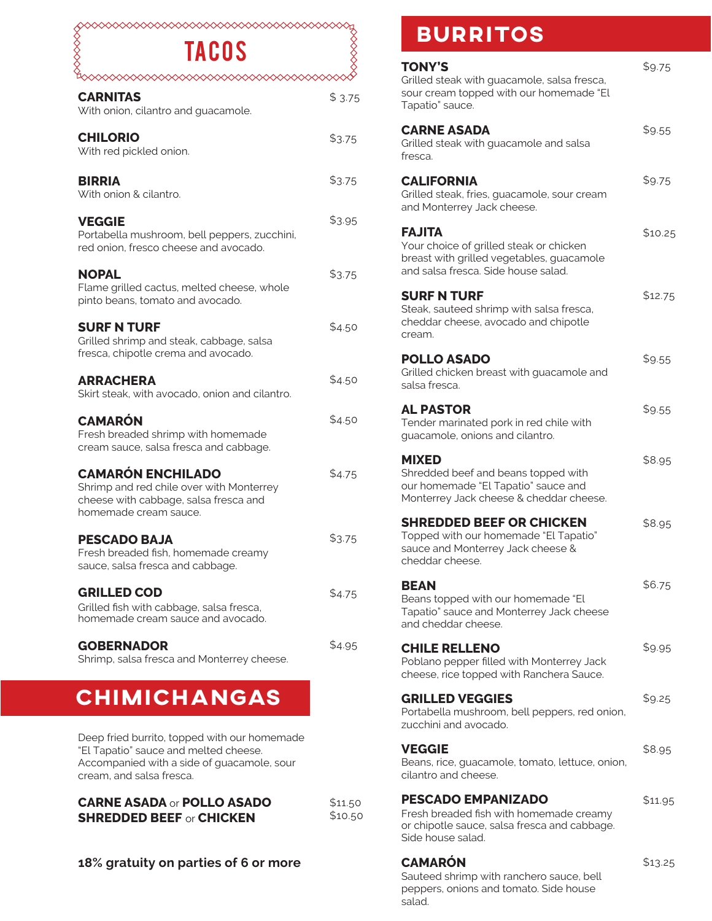#### $\Diamond$  $\infty$   $\infty$ tacos

| <b>TACOS</b>                                                                                                                           |        |
|----------------------------------------------------------------------------------------------------------------------------------------|--------|
| ◇◇◇◇◇◇◇<br><b>CARNITAS</b><br>With onion, cilantro and guacamole.                                                                      | \$3.75 |
| <b>CHILORIO</b><br>With red pickled onion.                                                                                             | \$3.75 |
| <b>BIRRIA</b><br>With onion & cilantro.                                                                                                | \$3.75 |
| <b>VEGGIE</b><br>Portabella mushroom, bell peppers, zucchini,<br>red onion, fresco cheese and avocado.                                 | \$3.95 |
| <b>NOPAL</b><br>Flame grilled cactus, melted cheese, whole<br>pinto beans, tomato and avocado.                                         | \$3.75 |
| <b>SURF N TURF</b><br>Grilled shrimp and steak, cabbage, salsa<br>fresca, chipotle crema and avocado.                                  | \$4.50 |
| <b>ARRACHERA</b><br>Skirt steak, with avocado, onion and cilantro.                                                                     | \$4.50 |
| <b>CAMARÓN</b><br>Fresh breaded shrimp with homemade<br>cream sauce, salsa fresca and cabbage.                                         | \$4.50 |
| <b>CAMARÓN ENCHILADO</b><br>Shrimp and red chile over with Monterrey<br>cheese with cabbage, salsa fresca and<br>homemade cream sauce. | \$4.75 |
| <b>PESCADO BAJA</b><br>Fresh breaded fish, homemade creamy<br>sauce, salsa fresca and cabbage.                                         | \$3.75 |
| <b>GRILLED COD</b><br>Grilled fish with cabbage, salsa fresca,<br>homemade cream sauce and avocado.                                    | \$4.75 |
| <b>GOBERNADOR</b><br>Shrimp, salsa fresca and Monterrey cheese.                                                                        | \$4.95 |
| CHIMICHANGAS                                                                                                                           |        |
| Deep fried burrito, topped with our homemade                                                                                           |        |

"El Tapatio" sauce and melted cheese. Accompanied with a side of guacamole, sour cream, and salsa fresca.

> \$11.50 \$10.50

| <b>CARNE ASADA or POLLO ASADO</b> |  |
|-----------------------------------|--|
| <b>SHREDDED BEEF or CHICKEN</b>   |  |

#### **18% gratuity on parties of 6 or more**

### **burritos**

| <b>TONY'S</b><br>Grilled steak with guacamole, salsa fresca,<br>sour cream topped with our homemade "El<br>Tapatio" sauce.                   | \$9.75  |
|----------------------------------------------------------------------------------------------------------------------------------------------|---------|
| <b>CARNE ASADA</b><br>Grilled steak with guacamole and salsa<br>fresca.                                                                      | \$9.55  |
| <b>CALIFORNIA</b><br>Grilled steak, fries, guacamole, sour cream<br>and Monterrey Jack cheese.                                               | \$9.75  |
| <b>FAJITA</b><br>Your choice of grilled steak or chicken<br>breast with grilled vegetables, guacamole<br>and salsa fresca. Side house salad. | \$10.25 |
| <b>SURF N TURF</b><br>Steak, sauteed shrimp with salsa fresca,<br>cheddar cheese, avocado and chipotle<br>cream.                             | \$12.75 |
| <b>POLLO ASADO</b><br>Grilled chicken breast with guacamole and<br>salsa fresca.                                                             | \$9.55  |
| <b>AL PASTOR</b><br>Tender marinated pork in red chile with<br>guacamole, onions and cilantro.                                               | \$9.55  |
| <b>MIXED</b><br>Shredded beef and beans topped with<br>our homemade "El Tapatio" sauce and<br>Monterrey Jack cheese & cheddar cheese.        | \$8.95  |
| <b>SHREDDED BEEF OR CHICKEN</b><br>Topped with our homemade "El Tapatio"<br>sauce and Monterrey Jack cheese &<br>cheddar cheese.             | \$8.95  |
| <b>BEAN</b><br>Beans topped with our homemade "El<br>Tapatio" sauce and Monterrey Jack cheese<br>and cheddar cheese.                         | \$6.75  |
| <b>CHILE RELLENO</b><br>Poblano pepper filled with Monterrey Jack<br>cheese, rice topped with Ranchera Sauce.                                | \$9.95  |
| <b>GRILLED VEGGIES</b><br>Portabella mushroom, bell peppers, red onion,<br>zucchini and avocado.                                             | \$9.25  |
| <b>VEGGIE</b><br>Beans, rice, guacamole, tomato, lettuce, onion,<br>cilantro and cheese.                                                     | \$8.95  |
| <b>PESCADO EMPANIZADO</b><br>Fresh breaded fish with homemade creamy<br>or chipotle sauce, salsa fresca and cabbage.<br>Side house salad.    | \$11.95 |
| <b>CAMARÓN</b>                                                                                                                               | \$13.25 |

Sauteed shrimp with ranchero sauce, bell peppers, onions and tomato. Side house salad.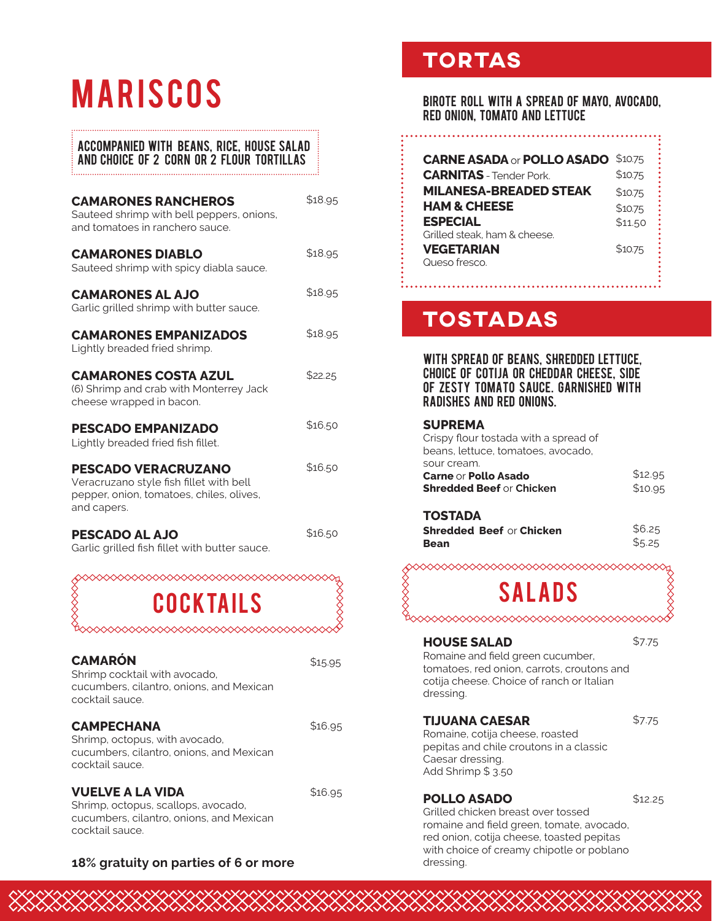# **MARISCOS**

#### **ACCOMPANIED WITH BEANS, RICE, HOUSE SALAD** AND CHOICE OF 2 CORN OR 2 FLOUR TORTILLAS

| <b>CAMARONES RANCHEROS</b><br>Sauteed shrimp with bell peppers, onions,<br>and tomatoes in ranchero sauce.                       | \$18.95 |
|----------------------------------------------------------------------------------------------------------------------------------|---------|
| <b>CAMARONES DIABLO</b><br>Sauteed shrimp with spicy diabla sauce.                                                               | \$18.95 |
| <b>CAMARONES AL AJO</b><br>Garlic grilled shrimp with butter sauce.                                                              | \$18.95 |
| <b>CAMARONES EMPANIZADOS</b><br>Lightly breaded fried shrimp.                                                                    | \$18.95 |
| <b>CAMARONES COSTA AZUL</b><br>(6) Shrimp and crab with Monterrey Jack<br>cheese wrapped in bacon.                               | \$22.25 |
| <b>PESCADO EMPANIZADO</b><br>Lightly breaded fried fish fillet.                                                                  | \$16.50 |
| <b>PESCADO VERACRUZANO</b><br>Veracruzano style fish fillet with bell<br>pepper, onion, tomatoes, chiles, olives,<br>and capers. | \$16.50 |
| <b>PESCADO AL AJO</b><br>Garlic grilled fish fillet with butter sauce.                                                           | \$16.50 |

COCKTAILS

| <b>CAMARÓN</b><br>Shrimp cocktail with avocado,<br>cucumbers, cilantro, onions, and Mexican<br>cocktail sauce.                | \$15.95 |
|-------------------------------------------------------------------------------------------------------------------------------|---------|
| <b>CAMPECHANA</b><br>Shrimp, octopus, with avocado,<br>cucumbers, cilantro, onions, and Mexican<br>cocktail sauce.            | \$16.95 |
| <b>VUELVE A LA VIDA</b><br>Shrimp, octopus, scallops, avocado,<br>cucumbers, cilantro, onions, and Mexican<br>cocktail sauce. | \$16.95 |

#### 18% gratuity on parties of 6 or more

XXXXXXXX

### **TORTAS**

#### BIROTE ROLL WITH A SPREAD OF MAYO, AVOCADO, RED ONION, TOMATO AND LETTUCE

| <b>CARNE ASADA or POLLO ASADO</b> | \$10.75 |
|-----------------------------------|---------|
| <b>CARNITAS</b> - Tender Pork.    | \$10.75 |
| <b>MILANESA-BREADED STEAK</b>     | \$10.75 |
| <b>HAM &amp; CHEESE</b>           | \$10.75 |
| <b>ESPECIAL</b>                   | \$11.50 |
| Grilled steak, ham & cheese.      |         |
| VEGETARIAN                        | \$10.75 |
| Queso fresco.                     |         |

### **TOSTADAS**

#### WITH SPREAD OF BEANS, SHREDDED LETTUCE. **CHOICE OF COTIJA OR CHEDDAR CHEESE. SIDE** OF ZESTY TOMATO SAUCE, GARNISHED WITH **RADISHES AND RED ONIONS.**

#### **SUPREMA**

Crispy flour tostada with a spread of beans, lettuce, tomatoes, avocado, sour cream. Carne or Pollo Asado **SI** 

| <b>hredded Beef</b> or Chicken | \$10.95 |
|--------------------------------|---------|
|                                |         |

#### **TOSTADA**

|      | <b>Shredded Beef or Chicken</b> | \$6.25 |
|------|---------------------------------|--------|
| Bean |                                 | \$5.25 |

### **SALADS**

#### **HOUSE SALAD**

\$7.75

\$12.95

Romaine and field green cucumber, tomatoes, red onion, carrots, croutons and cotija cheese. Choice of ranch or Italian dressing.

#### **TIJUANA CAESAR**

 $$7.75$ 

Romaine, cotija cheese, roasted pepitas and chile croutons in a classic Caesar dressing. Add Shrimp \$3.50

#### **POLLO ASADO**

 $$12.25$ 

Grilled chicken breast over tossed romaine and field green, tomate, avocado, red onion, cotija cheese, toasted pepitas with choice of creamy chipotle or poblano dressing.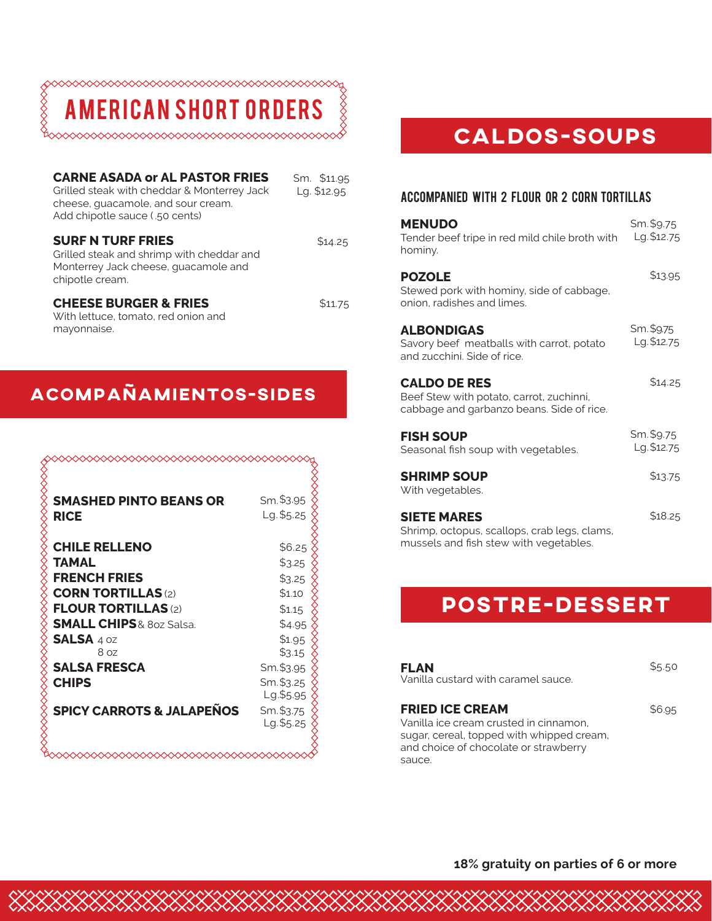$\frac{1}{2}$ 

**MERICAN SHORT ORDERS** 

| <b>CARNE ASADA or AL PASTOR FRIES</b><br>Grilled steak with cheddar & Monterrey Jack<br>cheese, guacamole, and sour cream.<br>Add chipotle sauce (.50 cents) | Sm. \$11.95<br>Lg. \$12.95 |
|--------------------------------------------------------------------------------------------------------------------------------------------------------------|----------------------------|
| <b>SURF N TURF FRIES</b><br>Grilled steak and shrimp with cheddar and<br>Monterrey Jack cheese, quacamole and<br>chipotle cream.                             | \$14.25                    |
| <b>CHEESE BURGER &amp; FRIES</b><br>With lettuce, tomato, red onion and<br>mayonnaise.                                                                       | \$11.75                    |

### **acompaÑamientos-SIDES**

|                                              | Sm. \$3.95 |
|----------------------------------------------|------------|
| <b>SMASHED PINTO BEANS OR</b><br><b>RICE</b> | Lg. \$5.25 |
| <b>CHILE RELLENO</b>                         | \$6.25     |
| TAMAL                                        | \$3.25     |
| <b>FRENCH FRIES</b>                          | \$3.25     |
| <b>CORN TORTILLAS (2)</b>                    | \$1.10     |
| <b>FLOUR TORTILLAS (2)</b>                   | \$1.15     |
| <b>SMALL CHIPS &amp; 8oz Salsa.</b>          | \$4.95     |
| SALSA 4 0Z                                   | \$1.95     |
| 8 <sub>oz</sub>                              | \$3.15     |
| <b>SALSA FRESCA</b>                          | Sm.\$3.95  |
| <b>CHIPS</b>                                 | Sm. \$3.25 |
|                                              | Lg.\$5.95  |
| <b>SPICY CARROTS &amp; JALAPEÑOS</b>         | Sm. \$3.75 |
|                                              | Lg.\$5.25  |
|                                              |            |

XXXXXXXXXXXXXXX

### **CALDOS-SOUPS**

#### ACCOMPANIED With 2 flour or 2 corn tortillas

| <b>MENUDO</b><br>Tender beef tripe in red mild chile broth with<br>hominy.                                   | Sm. \$9.75<br>Lg. \$12.75 |
|--------------------------------------------------------------------------------------------------------------|---------------------------|
| <b>POZOLE</b><br>Stewed pork with hominy, side of cabbage,<br>onion, radishes and limes.                     | \$13.95                   |
| <b>ALBONDIGAS</b><br>Savory beef meatballs with carrot, potato<br>and zucchini. Side of rice.                | Sm. \$9.75<br>Lg. \$12.75 |
| <b>CALDO DE RES</b><br>Beef Stew with potato, carrot, zuchinni,<br>cabbage and garbanzo beans. Side of rice. | \$14.25                   |
| <b>FISH SOUP</b><br>Seasonal fish soup with vegetables.                                                      | Sm. \$9.75<br>Lg. \$12.75 |
| <b>SHRIMP SOUP</b><br>With vegetables.                                                                       | \$13.75                   |
| <b>SIETE MARES</b><br>Shrimp, octopus, scallops, crab legs, clams,<br>mussels and fish stew with vegetables. | \$18.25                   |

### **postre-dessert**

| FLAN<br>Vanilla custard with caramel sauce.                                                                                                                      | \$5.50 |
|------------------------------------------------------------------------------------------------------------------------------------------------------------------|--------|
| <b>FRIED ICE CREAM</b><br>Vanilla ice cream crusted in cinnamon,<br>sugar, cereal, topped with whipped cream,<br>and choice of chocolate or strawberry<br>sauce. | \$6.95 |